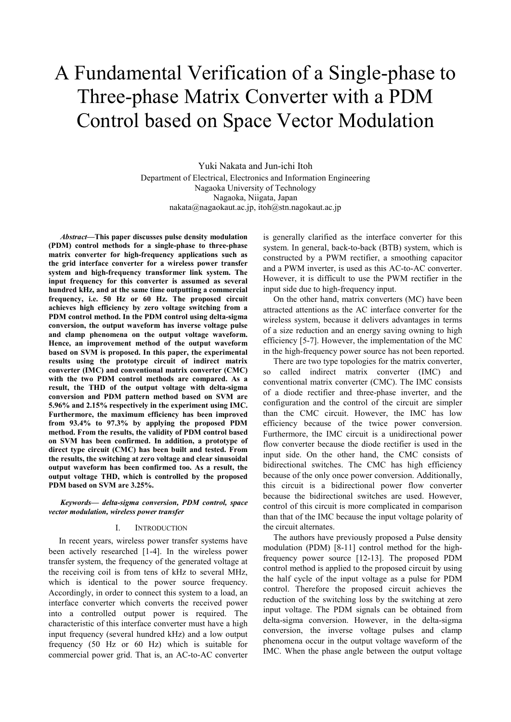# A Fundamental Verification of a Single-phase to Three-phase Matrix Converter with a PDM Control based on Space Vector Modulation

Yuki Nakata and Jun-ichi Itoh Department of Electrical, Electronics and Information Engineering Nagaoka University of Technology Nagaoka, Niigata, Japan nakata@nagaokaut.ac.jp, itoh@stn.nagokaut.ac.jp

*Abstract***—This paper discusses pulse density modulation (PDM) control methods for a single-phase to three-phase matrix converter for high-frequency applications such as the grid interface converter for a wireless power transfer system and high-frequency transformer link system. The input frequency for this converter is assumed as several hundred kHz, and at the same time outputting a commercial frequency, i.e. 50 Hz or 60 Hz. The proposed circuit achieves high efficiency by zero voltage switching from a PDM control method. In the PDM control using delta-sigma conversion, the output waveform has inverse voltage pulse and clamp phenomena on the output voltage waveform. Hence, an improvement method of the output waveform based on SVM is proposed. In this paper, the experimental results using the prototype circuit of indirect matrix converter (IMC) and conventional matrix converter (CMC) with the two PDM control methods are compared. As a result, the THD of the output voltage with delta-sigma conversion and PDM pattern method based on SVM are 5.96% and 2.15% respectively in the experiment using IMC. Furthermore, the maximum efficiency has been improved from 93.4% to 97.3% by applying the proposed PDM method. From the results, the validity of PDM control based on SVM has been confirmed. In addition, a prototype of direct type circuit (CMC) has been built and tested. From the results, the switching at zero voltage and clear sinusoidal output waveform has been confirmed too. As a result, the output voltage THD, which is controlled by the proposed PDM based on SVM are 3.25%.** 

#### *Keywords— delta-sigma conversion, PDM control, space vector modulation, wireless power transfer*

#### I. INTRODUCTION

In recent years, wireless power transfer systems have been actively researched [1-4]. In the wireless power transfer system, the frequency of the generated voltage at the receiving coil is from tens of kHz to several MHz, which is identical to the power source frequency. Accordingly, in order to connect this system to a load, an interface converter which converts the received power into a controlled output power is required. The characteristic of this interface converter must have a high input frequency (several hundred kHz) and a low output frequency (50 Hz or 60 Hz) which is suitable for commercial power grid. That is, an AC-to-AC converter

is generally clarified as the interface converter for this system. In general, back-to-back (BTB) system, which is constructed by a PWM rectifier, a smoothing capacitor and a PWM inverter, is used as this AC-to-AC converter. However, it is difficult to use the PWM rectifier in the input side due to high-frequency input.

On the other hand, matrix converters (MC) have been attracted attentions as the AC interface converter for the wireless system, because it delivers advantages in terms of a size reduction and an energy saving owning to high efficiency [5-7]. However, the implementation of the MC in the high-frequency power source has not been reported.

There are two type topologies for the matrix converter, so called indirect matrix converter (IMC) and conventional matrix converter (CMC). The IMC consists of a diode rectifier and three-phase inverter, and the configuration and the control of the circuit are simpler than the CMC circuit. However, the IMC has low efficiency because of the twice power conversion. Furthermore, the IMC circuit is a unidirectional power flow converter because the diode rectifier is used in the input side. On the other hand, the CMC consists of bidirectional switches. The CMC has high efficiency because of the only once power conversion. Additionally, this circuit is a bidirectional power flow converter because the bidirectional switches are used. However, control of this circuit is more complicated in comparison than that of the IMC because the input voltage polarity of the circuit alternates.

The authors have previously proposed a Pulse density modulation (PDM) [8-11] control method for the highfrequency power source [12-13]. The proposed PDM control method is applied to the proposed circuit by using the half cycle of the input voltage as a pulse for PDM control. Therefore the proposed circuit achieves the reduction of the switching loss by the switching at zero input voltage. The PDM signals can be obtained from delta-sigma conversion. However, in the delta-sigma conversion, the inverse voltage pulses and clamp phenomena occur in the output voltage waveform of the IMC. When the phase angle between the output voltage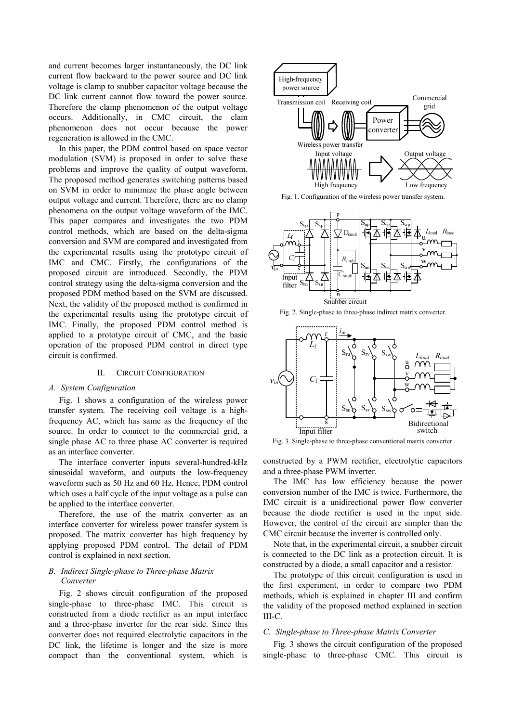and current becomes larger instantaneously, the DC link current flow backward to the power source and DC link voltage is clamp to snubber capacitor voltage because the DC link current cannot flow toward the power source. Therefore the clamp phenomenon of the output voltage occurs. Additionally, in CMC circuit, the clam phenomenon does not occur because the power regeneration is allowed in the CMC.

In this paper, the PDM control based on space vector modulation (SVM) is proposed in order to solve these problems and improve the quality of output waveform. The proposed method generates switching patterns based on SVM in order to minimize the phase angle between output voltage and current. Therefore, there are no clamp phenomena on the output voltage waveform of the IMC. This paper compares and investigates the two PDM control methods, which are based on the delta-sigma conversion and SVM are compared and investigated from the experimental results using the prototype circuit of IMC and CMC. Firstly, the configurations of the proposed circuit are introduced. Secondly, the PDM control strategy using the delta-sigma conversion and the proposed PDM method based on the SVM are discussed. Next, the validity of the proposed method is confirmed in the experimental results using the prototype circuit of IMC. Finally, the proposed PDM control method is applied to a prototype circuit of CMC, and the basic operation of the proposed PDM control in direct type circuit is confirmed.

#### II. CIRCUIT CONFIGURATION

#### *A. System Configuration*

Fig. 1 shows a configuration of the wireless power transfer system. The receiving coil voltage is a highfrequency AC, which has same as the frequency of the source. In order to connect to the commercial grid, a single phase AC to three phase AC converter is required as an interface converter.

The interface converter inputs several-hundred-kHz sinusoidal waveform, and outputs the low-frequency waveform such as 50 Hz and 60 Hz. Hence, PDM control which uses a half cycle of the input voltage as a pulse can be applied to the interface converter.

Therefore, the use of the matrix converter as an interface converter for wireless power transfer system is proposed. The matrix converter has high frequency by applying proposed PDM control. The detail of PDM control is explained in next section.

### *B. Indirect Single-phase to Three-phase Matrix Converter*

Fig. 2 shows circuit configuration of the proposed single-phase to three-phase IMC. This circuit is constructed from a diode rectifier as an input interface and a three-phase inverter for the rear side. Since this converter does not required electrolytic capacitors in the DC link, the lifetime is longer and the size is more compact than the conventional system, which is



Fig. 1. Configuration of the wireless power transfer system.







Fig. 3. Single-phase to three-phase conventional matrix converter.

constructed by a PWM rectifier, electrolytic capacitors and a three-phase PWM inverter.

The IMC has low efficiency because the power conversion number of the IMC is twice. Furthermore, the IMC circuit is a unidirectional power flow converter because the diode rectifier is used in the input side. However, the control of the circuit are simpler than the CMC circuit because the inverter is controlled only.

Note that, in the experimental circuit, a snubber circuit is connected to the DC link as a protection circuit. It is constructed by a diode, a small capacitor and a resistor.

The prototype of this circuit configuration is used in the first experiment, in order to compare two PDM methods, which is explained in chapter III and confirm the validity of the proposed method explained in section III-C.

#### *C. Single-phase to Three-phase Matrix Converter*

Fig. 3 shows the circuit configuration of the proposed single-phase to three-phase CMC. This circuit is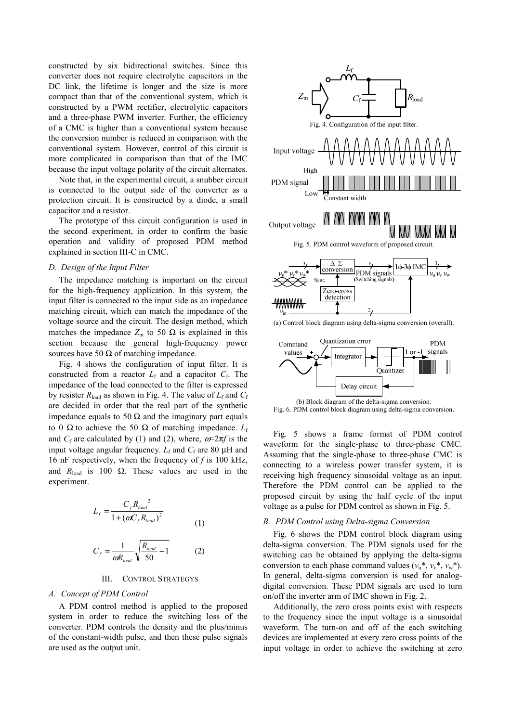constructed by six bidirectional switches. Since this converter does not require electrolytic capacitors in the DC link, the lifetime is longer and the size is more compact than that of the conventional system, which is constructed by a PWM rectifier, electrolytic capacitors and a three-phase PWM inverter. Further, the efficiency of a CMC is higher than a conventional system because the conversion number is reduced in comparison with the conventional system. However, control of this circuit is more complicated in comparison than that of the IMC because the input voltage polarity of the circuit alternates.

Note that, in the experimental circuit, a snubber circuit is connected to the output side of the converter as a protection circuit. It is constructed by a diode, a small capacitor and a resistor.

The prototype of this circuit configuration is used in the second experiment, in order to confirm the basic operation and validity of proposed PDM method explained in section III-C in CMC.

#### *D. Design of the Input Filter*

The impedance matching is important on the circuit for the high-frequency application. In this system, the input filter is connected to the input side as an impedance matching circuit, which can match the impedance of the voltage source and the circuit. The design method, which matches the impedance  $Z_{\text{in}}$  to 50  $\Omega$  is explained in this section because the general high-frequency power sources have 50  $\Omega$  of matching impedance.

Fig. 4 shows the configuration of input filter. It is constructed from a reactor  $L_f$  and a capacitor  $C_f$ . The impedance of the load connected to the filter is expressed by resister  $R_{load}$  as shown in Fig. 4. The value of  $L_f$  and  $C_f$ are decided in order that the real part of the synthetic impedance equals to 50  $\Omega$  and the imaginary part equals to 0  $\Omega$  to achieve the 50  $\Omega$  of matching impedance.  $L_f$ and  $C_f$  are calculated by (1) and (2), where,  $\omega = 2\pi f$  is the input voltage angular frequency.  $L_f$  and  $C_f$  are 80  $\mu$ H and 16 nF respectively, when the frequency of *f* is 100 kHz, and  $R_{load}$  is 100  $\Omega$ . These values are used in the experiment.

$$
L_{f} = \frac{C_{f} R_{load}^{2}}{1 + (\omega C_{f} R_{load})^{2}}
$$
\n
$$
C_{f} = \frac{1}{\omega R_{load}} \sqrt{\frac{R_{load}}{50} - 1}
$$
\n(2)

#### III. CONTROL STRATEGYS

#### *A. Concept of PDM Control*

*load R* ω

A PDM control method is applied to the proposed system in order to reduce the switching loss of the converter. PDM controls the density and the plus/minus of the constant-width pulse, and then these pulse signals are used as the output unit.





(b) Block diagram of the delta-sigma conversion. Fig. 6. PDM control block diagram using delta-sigma conversion.

Fig. 5 shows a frame format of PDM control waveform for the single-phase to three-phase CMC. Assuming that the single-phase to three-phase CMC is connecting to a wireless power transfer system, it is receiving high frequency sinusoidal voltage as an input. Therefore the PDM control can be applied to the proposed circuit by using the half cycle of the input voltage as a pulse for PDM control as shown in Fig. 5.

#### *B. PDM Control using Delta-sigma Conversion*

Fig. 6 shows the PDM control block diagram using delta-sigma conversion. The PDM signals used for the switching can be obtained by applying the delta-sigma conversion to each phase command values  $(v_u^*, v_v^*, v_w^*)$ . In general, delta-sigma conversion is used for analogdigital conversion. These PDM signals are used to turn on/off the inverter arm of IMC shown in Fig. 2.

Additionally, the zero cross points exist with respects to the frequency since the input voltage is a sinusoidal waveform. The turn-on and off of the each switching devices are implemented at every zero cross points of the input voltage in order to achieve the switching at zero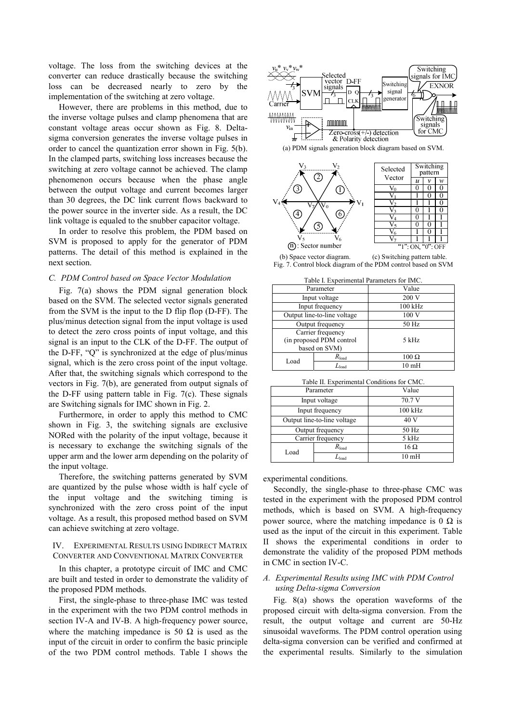voltage. The loss from the switching devices at the converter can reduce drastically because the switching loss can be decreased nearly to zero by the implementation of the switching at zero voltage.

However, there are problems in this method, due to the inverse voltage pulses and clamp phenomena that are constant voltage areas occur shown as Fig. 8. Deltasigma conversion generates the inverse voltage pulses in order to cancel the quantization error shown in Fig. 5(b). In the clamped parts, switching loss increases because the switching at zero voltage cannot be achieved. The clamp phenomenon occurs because when the phase angle between the output voltage and current becomes larger than 30 degrees, the DC link current flows backward to the power source in the inverter side. As a result, the DC link voltage is equaled to the snubber capacitor voltage.

In order to resolve this problem, the PDM based on SVM is proposed to apply for the generator of PDM patterns. The detail of this method is explained in the next section.

## *C. PDM Control based on Space Vector Modulation*

Fig. 7(a) shows the PDM signal generation block based on the SVM. The selected vector signals generated from the SVM is the input to the D flip flop (D-FF). The plus/minus detection signal from the input voltage is used to detect the zero cross points of input voltage, and this signal is an input to the CLK of the D-FF. The output of the D-FF, "Q" is synchronized at the edge of plus/minus signal, which is the zero cross point of the input voltage. After that, the switching signals which correspond to the vectors in Fig. 7(b), are generated from output signals of the D-FF using pattern table in Fig. 7(c). These signals are Switching signals for IMC shown in Fig. 2.

Furthermore, in order to apply this method to CMC shown in Fig. 3, the switching signals are exclusive NORed with the polarity of the input voltage, because it is necessary to exchange the switching signals of the upper arm and the lower arm depending on the polarity of the input voltage.

Therefore, the switching patterns generated by SVM are quantized by the pulse whose width is half cycle of the input voltage and the switching timing is synchronized with the zero cross point of the input voltage. As a result, this proposed method based on SVM can achieve switching at zero voltage.

#### IV. EXPERIMENTAL RESULTS USING INDIRECT MATRIX CONVERTER AND CONVENTIONAL MATRIX CONVERTER

In this chapter, a prototype circuit of IMC and CMC are built and tested in order to demonstrate the validity of the proposed PDM methods.

First, the single-phase to three-phase IMC was tested in the experiment with the two PDM control methods in section IV-A and IV-B. A high-frequency power source, where the matching impedance is 50  $\Omega$  is used as the input of the circuit in order to confirm the basic principle of the two PDM control methods. Table I shows the



(b) Space vector diagram. (c) Switching pattern table. Fig. 7. Control block diagram of the PDM control based on SVM

 $\overline{ON}$ 

 $"0"$ : OFF

| Table I. Experimental Parameters for IMC. |  |
|-------------------------------------------|--|
|                                           |  |

| Table I. Experimental Parameters for IMC.                      |            |              |
|----------------------------------------------------------------|------------|--------------|
| Parameter                                                      |            | Value        |
| Input voltage                                                  |            | 200 V        |
| Input frequency                                                |            | $100$ kHz    |
| Output line-to-line voltage                                    |            | 100V         |
| Output frequency                                               |            | 50 Hz        |
| Carrier frequency<br>(in proposed PDM control<br>based on SVM) |            | 5 kHz        |
| Load                                                           | $R_{load}$ | $100 \Omega$ |
|                                                                | $L$ load   | 10 mH        |

|  | Table II. Experimental Conditions for CMC. |  |  |  |
|--|--------------------------------------------|--|--|--|
|--|--------------------------------------------|--|--|--|

| Parameter                   |                | Value            |  |
|-----------------------------|----------------|------------------|--|
| Input voltage               |                | 70.7 V           |  |
| Input frequency             |                | 100 kHz          |  |
| Output line-to-line voltage |                | 40 V             |  |
| Output frequency            |                | 50 Hz            |  |
| Carrier frequency           |                | 5 kHz            |  |
| Load                        | $R_{load}$     | $16 \Omega$      |  |
|                             | $L_{\rm load}$ | 10 <sub>mH</sub> |  |

experimental conditions.

Secondly, the single-phase to three-phase CMC was tested in the experiment with the proposed PDM control methods, which is based on SVM. A high-frequency power source, where the matching impedance is 0  $\Omega$  is used as the input of the circuit in this experiment. Table II shows the experimental conditions in order to demonstrate the validity of the proposed PDM methods in CMC in section IV-C.

## *A. Experimental Results using IMC with PDM Control using Delta-sigma Conversion*

Fig. 8(a) shows the operation waveforms of the proposed circuit with delta-sigma conversion. From the result, the output voltage and current are 50-Hz sinusoidal waveforms. The PDM control operation using delta-sigma conversion can be verified and confirmed at the experimental results. Similarly to the simulation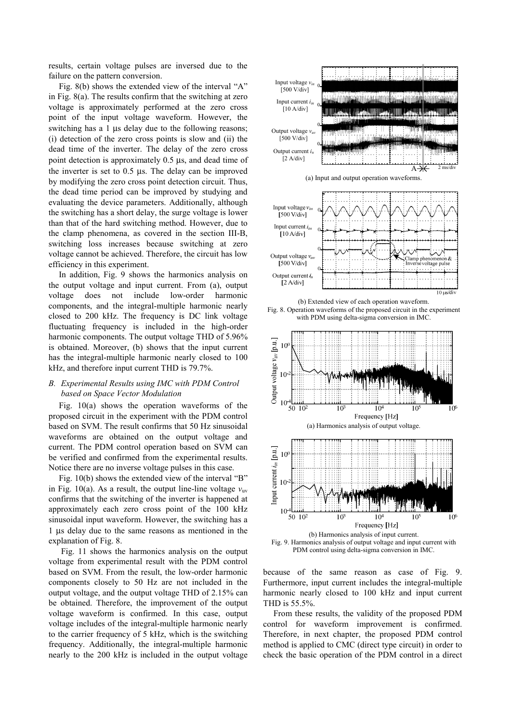results, certain voltage pulses are inversed due to the failure on the pattern conversion.

Fig. 8(b) shows the extended view of the interval "A" in Fig. 8(a). The results confirm that the switching at zero voltage is approximately performed at the zero cross point of the input voltage waveform. However, the switching has a 1 μs delay due to the following reasons; (i) detection of the zero cross points is slow and (ii) the dead time of the inverter. The delay of the zero cross point detection is approximately 0.5 μs, and dead time of the inverter is set to 0.5 μs. The delay can be improved by modifying the zero cross point detection circuit. Thus, the dead time period can be improved by studying and evaluating the device parameters. Additionally, although the switching has a short delay, the surge voltage is lower than that of the hard switching method. However, due to the clamp phenomena, as covered in the section III-B, switching loss increases because switching at zero voltage cannot be achieved. Therefore, the circuit has low efficiency in this experiment.

In addition, Fig. 9 shows the harmonics analysis on the output voltage and input current. From (a), output voltage does not include low-order harmonic components, and the integral-multiple harmonic nearly closed to 200 kHz. The frequency is DC link voltage fluctuating frequency is included in the high-order harmonic components. The output voltage THD of 5.96% is obtained. Moreover, (b) shows that the input current has the integral-multiple harmonic nearly closed to 100 kHz, and therefore input current THD is 79.7%.

## *B. Experimental Results using IMC with PDM Control based on Space Vector Modulation*

Fig. 10(a) shows the operation waveforms of the proposed circuit in the experiment with the PDM control based on SVM. The result confirms that 50 Hz sinusoidal waveforms are obtained on the output voltage and current. The PDM control operation based on SVM can be verified and confirmed from the experimental results. Notice there are no inverse voltage pulses in this case.

Fig. 10(b) shows the extended view of the interval "B" in Fig. 10(a). As a result, the output line-line voltage  $v_{\text{uv}}$ confirms that the switching of the inverter is happened at approximately each zero cross point of the 100 kHz sinusoidal input waveform. However, the switching has a 1 μs delay due to the same reasons as mentioned in the explanation of Fig. 8.

 Fig. 11 shows the harmonics analysis on the output voltage from experimental result with the PDM control based on SVM. From the result, the low-order harmonic components closely to 50 Hz are not included in the output voltage, and the output voltage THD of 2.15% can be obtained. Therefore, the improvement of the output voltage waveform is confirmed. In this case, output voltage includes of the integral-multiple harmonic nearly to the carrier frequency of 5 kHz, which is the switching frequency. Additionally, the integral-multiple harmonic nearly to the 200 kHz is included in the output voltage





because of the same reason as case of Fig. 9. Furthermore, input current includes the integral-multiple harmonic nearly closed to 100 kHz and input current THD is 55.5%.

From these results, the validity of the proposed PDM control for waveform improvement is confirmed. Therefore, in next chapter, the proposed PDM control method is applied to CMC (direct type circuit) in order to check the basic operation of the PDM control in a direct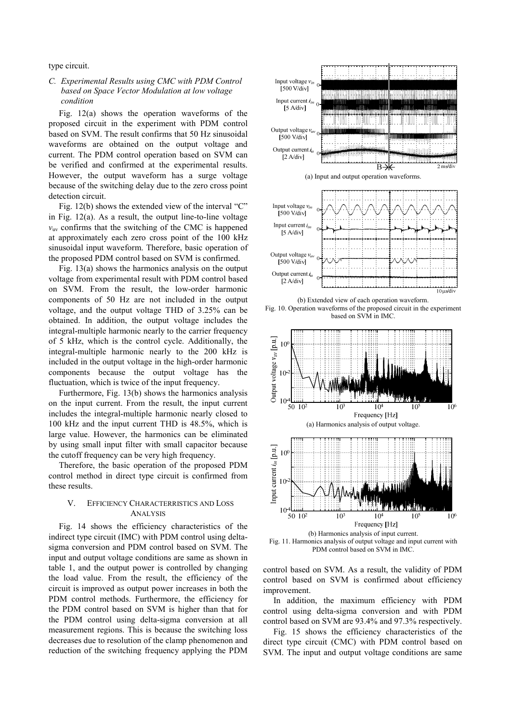type circuit.

## *C. Experimental Results using CMC with PDM Control based on Space Vector Modulation at low voltage condition*

Fig. 12(a) shows the operation waveforms of the proposed circuit in the experiment with PDM control based on SVM. The result confirms that 50 Hz sinusoidal waveforms are obtained on the output voltage and current. The PDM control operation based on SVM can be verified and confirmed at the experimental results. However, the output waveform has a surge voltage because of the switching delay due to the zero cross point detection circuit.

Fig. 12(b) shows the extended view of the interval "C" in Fig. 12(a). As a result, the output line-to-line voltage  $v_{\text{uv}}$  confirms that the switching of the CMC is happened at approximately each zero cross point of the 100 kHz sinusoidal input waveform. Therefore, basic operation of the proposed PDM control based on SVM is confirmed.

Fig. 13(a) shows the harmonics analysis on the output voltage from experimental result with PDM control based on SVM. From the result, the low-order harmonic components of 50 Hz are not included in the output voltage, and the output voltage THD of 3.25% can be obtained. In addition, the output voltage includes the integral-multiple harmonic nearly to the carrier frequency of 5 kHz, which is the control cycle. Additionally, the integral-multiple harmonic nearly to the 200 kHz is included in the output voltage in the high-order harmonic components because the output voltage has the fluctuation, which is twice of the input frequency.

Furthermore, Fig. 13(b) shows the harmonics analysis on the input current. From the result, the input current includes the integral-multiple harmonic nearly closed to 100 kHz and the input current THD is 48.5%, which is large value. However, the harmonics can be eliminated by using small input filter with small capacitor because the cutoff frequency can be very high frequency.

Therefore, the basic operation of the proposed PDM control method in direct type circuit is confirmed from these results.

## V. EFFICIENCY CHARACTERRISTICS AND LOSS ANALYSIS

Fig. 14 shows the efficiency characteristics of the indirect type circuit (IMC) with PDM control using deltasigma conversion and PDM control based on SVM. The input and output voltage conditions are same as shown in table 1, and the output power is controlled by changing the load value. From the result, the efficiency of the circuit is improved as output power increases in both the PDM control methods. Furthermore, the efficiency for the PDM control based on SVM is higher than that for the PDM control using delta-sigma conversion at all measurement regions. This is because the switching loss decreases due to resolution of the clamp phenomenon and reduction of the switching frequency applying the PDM









control based on SVM. As a result, the validity of PDM control based on SVM is confirmed about efficiency improvement.

In addition, the maximum efficiency with PDM control using delta-sigma conversion and with PDM control based on SVM are 93.4% and 97.3% respectively.

Fig. 15 shows the efficiency characteristics of the direct type circuit (CMC) with PDM control based on SVM. The input and output voltage conditions are same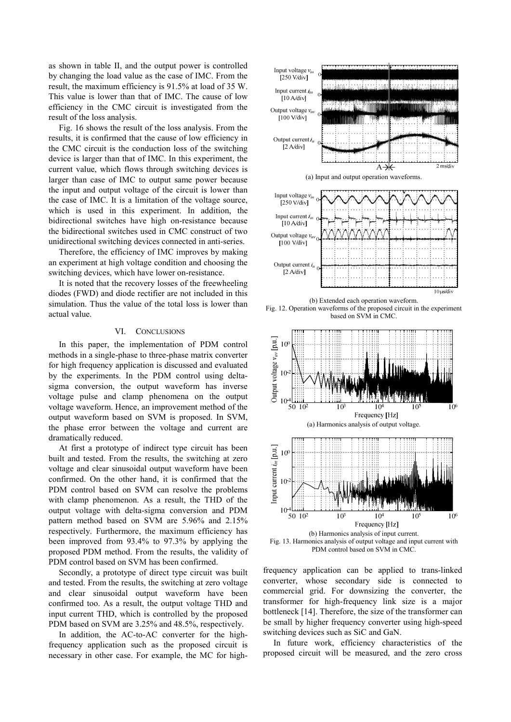as shown in table II, and the output power is controlled by changing the load value as the case of IMC. From the result, the maximum efficiency is 91.5% at load of 35 W. This value is lower than that of IMC. The cause of low efficiency in the CMC circuit is investigated from the result of the loss analysis.

Fig. 16 shows the result of the loss analysis. From the results, it is confirmed that the cause of low efficiency in the CMC circuit is the conduction loss of the switching device is larger than that of IMC. In this experiment, the current value, which flows through switching devices is larger than case of IMC to output same power because the input and output voltage of the circuit is lower than the case of IMC. It is a limitation of the voltage source, which is used in this experiment. In addition, the bidirectional switches have high on-resistance because the bidirectional switches used in CMC construct of two unidirectional switching devices connected in anti-series.

Therefore, the efficiency of IMC improves by making an experiment at high voltage condition and choosing the switching devices, which have lower on-resistance.

It is noted that the recovery losses of the freewheeling diodes (FWD) and diode rectifier are not included in this simulation. Thus the value of the total loss is lower than actual value.

#### VI. CONCLUSIONS

In this paper, the implementation of PDM control methods in a single-phase to three-phase matrix converter for high frequency application is discussed and evaluated by the experiments. In the PDM control using deltasigma conversion, the output waveform has inverse voltage pulse and clamp phenomena on the output voltage waveform. Hence, an improvement method of the output waveform based on SVM is proposed. In SVM, the phase error between the voltage and current are dramatically reduced.

At first a prototype of indirect type circuit has been built and tested. From the results, the switching at zero voltage and clear sinusoidal output waveform have been confirmed. On the other hand, it is confirmed that the PDM control based on SVM can resolve the problems with clamp phenomenon. As a result, the THD of the output voltage with delta-sigma conversion and PDM pattern method based on SVM are 5.96% and 2.15% respectively. Furthermore, the maximum efficiency has been improved from 93.4% to 97.3% by applying the proposed PDM method. From the results, the validity of PDM control based on SVM has been confirmed.

Secondly, a prototype of direct type circuit was built and tested. From the results, the switching at zero voltage and clear sinusoidal output waveform have been confirmed too. As a result, the output voltage THD and input current THD, which is controlled by the proposed PDM based on SVM are 3.25% and 48.5%, respectively.

In addition, the AC-to-AC converter for the highfrequency application such as the proposed circuit is necessary in other case. For example, the MC for high-



Fig. 12. Operation waveforms of the proposed circuit in the experiment based on SVM in CMC.



frequency application can be applied to trans-linked converter, whose secondary side is connected to commercial grid. For downsizing the converter, the transformer for high-frequency link size is a major bottleneck [14]. Therefore, the size of the transformer can be small by higher frequency converter using high-speed switching devices such as SiC and GaN.

In future work, efficiency characteristics of the proposed circuit will be measured, and the zero cross